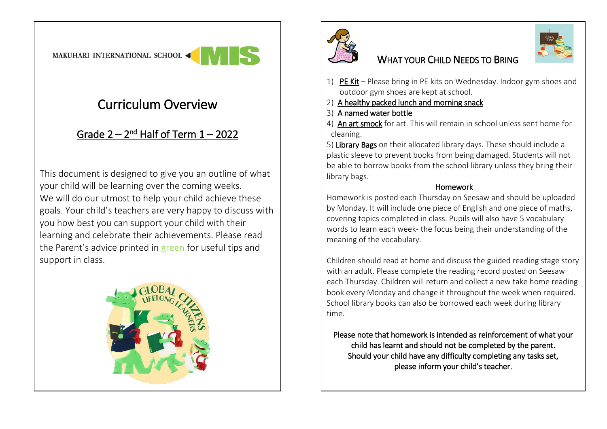## Curriculum Overview

## <u>Grade 2 – 2nd Half of Term 1 – 2022</u>

This document is designed to give you an outline of what your child will be learning over the coming weeks. We will do our utmost to help your child achieve these goals. Your child's teachers are very happy to discuss with you how best you can support your child with their learning and celebrate their achievements. Please read the Parent's advice printed in green for useful tips and support in class.





## WHAT YOUR CHILD NEEDS TO BRING

- 1) PE Kit Please bring in PE kits on Wednesday. Indoor gym shoes and outdoor gym shoes are kept at school.
- 2) A healthy packed lunch and morning snack
- 3) A named water bottle
- 4) An art smock for art. This will remain in school unless sent home for cleaning.

5) Library Bags on their allocated library days. These should include a plastic sleeve to prevent books from being damaged. Students will not be able to borrow books from the school library unless they bring their library bags.

## Homework

Homework is posted each Thursday on Seesaw and should be uploaded by Monday. It will include one piece of English and one piece of maths, covering topics completed in class. Pupils will also have 5 vocabulary words to learn each week- the focus being their understanding of the meaning of the vocabulary.

Children should read at home and discuss the guided reading stage story with an adult. Please complete the reading record posted on Seesaw each Thursday. Children will return and collect a new take home reading book every Monday and change it throughout the week when required. School library books can also be borrowed each week during library time.

Please note that homework is intended as reinforcement of what your child has learnt and should not be completed by the parent. Should your child have any difficulty completing any tasks set, please inform your child's teacher.